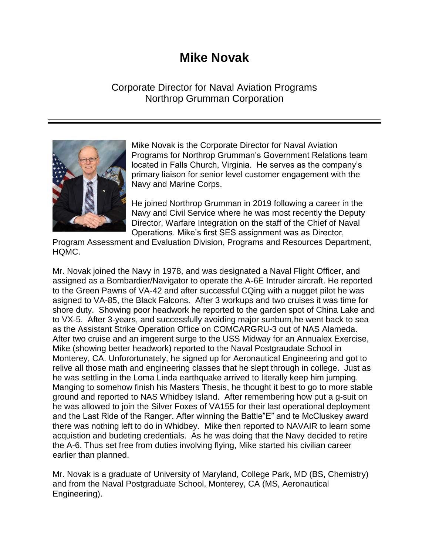## **Mike Novak**

## Corporate Director for Naval Aviation Programs Northrop Grumman Corporation



Mike Novak is the Corporate Director for Naval Aviation Programs for Northrop Grumman's Government Relations team located in Falls Church, Virginia. He serves as the company's primary liaison for senior level customer engagement with the Navy and Marine Corps.

He joined Northrop Grumman in 2019 following a career in the Navy and Civil Service where he was most recently the Deputy Director, Warfare Integration on the staff of the Chief of Naval Operations. Mike's first SES assignment was as Director,

Program Assessment and Evaluation Division, Programs and Resources Department, HQMC.

Mr. Novak joined the Navy in 1978, and was designated a Naval Flight Officer, and assigned as a Bombardier/Navigator to operate the A-6E Intruder aircraft. He reported to the Green Pawns of VA-42 and after successful CQing with a nugget pilot he was asigned to VA-85, the Black Falcons. After 3 workups and two cruises it was time for shore duty. Showing poor headwork he reported to the garden spot of China Lake and to VX-5. After 3-years, and successfully avoiding major sunburn,he went back to sea as the Assistant Strike Operation Office on COMCARGRU-3 out of NAS Alameda. After two cruise and an imgerent surge to the USS Midway for an Annualex Exercise, Mike (showing better headwork) reported to the Naval Postgraudate School in Monterey, CA. Unforortunately, he signed up for Aeronautical Engineering and got to relive all those math and engineering classes that he slept through in college. Just as he was settling in the Loma Linda earthquake arrived to literally keep him jumping. Manging to somehow finish his Masters Thesis, he thought it best to go to more stable ground and reported to NAS Whidbey Island. After remembering how put a g-suit on he was allowed to join the Silver Foxes of VA155 for their last operational deployment and the Last Ride of the Ranger. After winning the Battle"E" and te McCluskey award there was nothing left to do in Whidbey. Mike then reported to NAVAIR to learn some acquistion and budeting credentials. As he was doing that the Navy decided to retire the A-6. Thus set free from duties involving flying, Mike started his civilian career earlier than planned.

Mr. Novak is a graduate of University of Maryland, College Park, MD (BS, Chemistry) and from the Naval Postgraduate School, Monterey, CA (MS, Aeronautical Engineering).